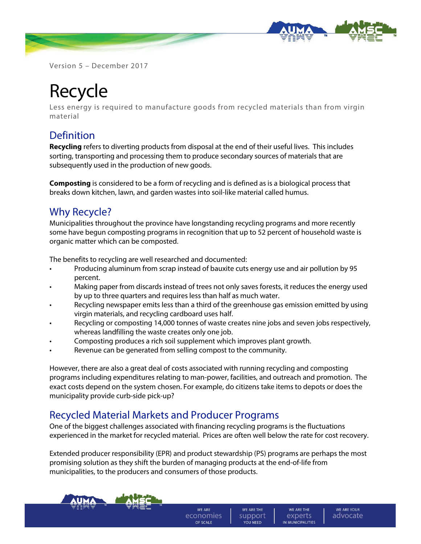

Version 5 – December 2017

# Recycle

Less energy is required to manufacture goods from recycled materials than from virgin material

## Definition

**Recycling** refers to diverting products from disposal at the end of their useful lives. This includes sorting, transporting and processing them to produce secondary sources of materials that are subsequently used in the production of new goods.

**Composting** is considered to be a form of recycling and is defined as is a biological process that breaks down kitchen, lawn, and garden wastes into soil-like material called humus.

### Why Recycle?

Municipalities throughout the province have longstanding recycling programs and more recently some have begun composting programs in recognition that up to 52 percent of household waste is organic matter which can be composted.

The benefits to recycling are well researched and documented:

- Producing aluminum from scrap instead of bauxite cuts energy use and air pollution by 95 percent.
- Making paper from discards instead of trees not only saves forests, it reduces the energy used by up to three quarters and requires less than half as much water.
- Recycling newspaper emits less than a third of the greenhouse gas emission emitted by using virgin materials, and recycling cardboard uses half.
- Recycling or composting 14,000 tonnes of waste creates nine jobs and seven jobs respectively, whereas landfilling the waste creates only one job.
- Composting produces a rich soil supplement which improves plant growth.
- Revenue can be generated from selling compost to the community.

However, there are also a great deal of costs associated with running recycling and composting programs including expenditures relating to man-power, facilities, and outreach and promotion. The exact costs depend on the system chosen. For example, do citizens take items to depots or does the municipality provide curb-side pick-up?

#### Recycled Material Markets and Producer Programs

One of the biggest challenges associated with financing recycling programs is the fluctuations experienced in the market for recycled material. Prices are often well below the rate for cost recovery.

Extended producer responsibility (EPR) and product stewardship (PS) programs are perhaps the most promising solution as they shift the burden of managing products at the end-of-life from municipalities, to the producers and consumers of those products.

**WE ARE** 

economies

OF SCALE

WE ARE THE

support

YOU NEED

WE ARE THE

experts

IN MUNICIPALITIES

WE ARE YOUR

advocate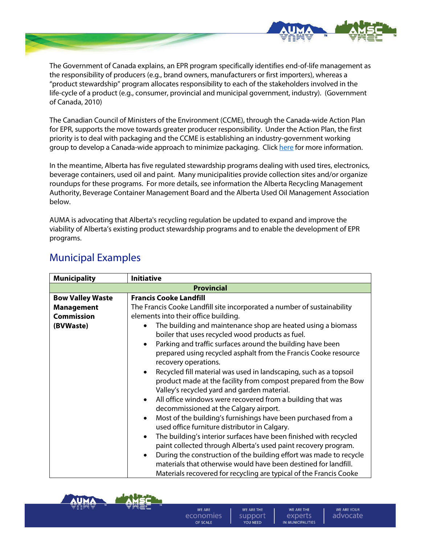

The Government of Canada explains, an EPR program specifically identifies end-of-life management as the responsibility of producers (e.g., brand owners, manufacturers or first importers), whereas a "product stewardship" program allocates responsibility to each of the stakeholders involved in the life-cycle of a product (e.g., consumer, provincial and municipal government, industry). (Government of Canada, 2010)

The Canadian Council of Ministers of the Environment (CCME), through the Canada-wide Action Plan for EPR, supports the move towards greater producer responsibility. Under the Action Plan, the first priority is to deal with packaging and the CCME is establishing an industry-government working group to develop a Canada-wide approach to minimize packaging. Click [here](http://www.ccme.ca/en/resources/waste/extended_producer_responsibility.html) for more information.

In the meantime, Alberta has five regulated stewardship programs dealing with used tires, electronics, beverage containers, used oil and paint. Many municipalities provide collection sites and/or organize roundups for these programs. For more details, see information the Alberta Recycling Management Authority, Beverage Container Management Board and the Alberta Used Oil Management Association below.

AUMA is advocating that Alberta's recycling regulation be updated to expand and improve the viability of Alberta's existing product stewardship programs and to enable the development of EPR programs.

| <b>Municipality</b>     | <b>Initiative</b>                                                                                                                                                                                                                                                                                                                                                                                                                                                                                                                                                                                                                                                                                                                                                                                                                                                                                                                                                                                                                                                                                                              |
|-------------------------|--------------------------------------------------------------------------------------------------------------------------------------------------------------------------------------------------------------------------------------------------------------------------------------------------------------------------------------------------------------------------------------------------------------------------------------------------------------------------------------------------------------------------------------------------------------------------------------------------------------------------------------------------------------------------------------------------------------------------------------------------------------------------------------------------------------------------------------------------------------------------------------------------------------------------------------------------------------------------------------------------------------------------------------------------------------------------------------------------------------------------------|
|                         | <b>Provincial</b>                                                                                                                                                                                                                                                                                                                                                                                                                                                                                                                                                                                                                                                                                                                                                                                                                                                                                                                                                                                                                                                                                                              |
| <b>Bow Valley Waste</b> | <b>Francis Cooke Landfill</b>                                                                                                                                                                                                                                                                                                                                                                                                                                                                                                                                                                                                                                                                                                                                                                                                                                                                                                                                                                                                                                                                                                  |
| <b>Management</b>       | The Francis Cooke Landfill site incorporated a number of sustainability                                                                                                                                                                                                                                                                                                                                                                                                                                                                                                                                                                                                                                                                                                                                                                                                                                                                                                                                                                                                                                                        |
| <b>Commission</b>       | elements into their office building.                                                                                                                                                                                                                                                                                                                                                                                                                                                                                                                                                                                                                                                                                                                                                                                                                                                                                                                                                                                                                                                                                           |
| (BVWaste)               | The building and maintenance shop are heated using a biomass<br>boiler that uses recycled wood products as fuel.<br>Parking and traffic surfaces around the building have been<br>$\bullet$<br>prepared using recycled asphalt from the Francis Cooke resource<br>recovery operations.<br>Recycled fill material was used in landscaping, such as a topsoil<br>$\bullet$<br>product made at the facility from compost prepared from the Bow<br>Valley's recycled yard and garden material.<br>All office windows were recovered from a building that was<br>$\bullet$<br>decommissioned at the Calgary airport.<br>Most of the building's furnishings have been purchased from a<br>$\bullet$<br>used office furniture distributor in Calgary.<br>The building's interior surfaces have been finished with recycled<br>$\bullet$<br>paint collected through Alberta's used paint recovery program.<br>During the construction of the building effort was made to recycle<br>$\bullet$<br>materials that otherwise would have been destined for landfill.<br>Materials recovered for recycling are typical of the Francis Cooke |

## Municipal Examples



**WE ARE** economies OF SCALE

WE ARE THE experts IN MUNICIPALITIES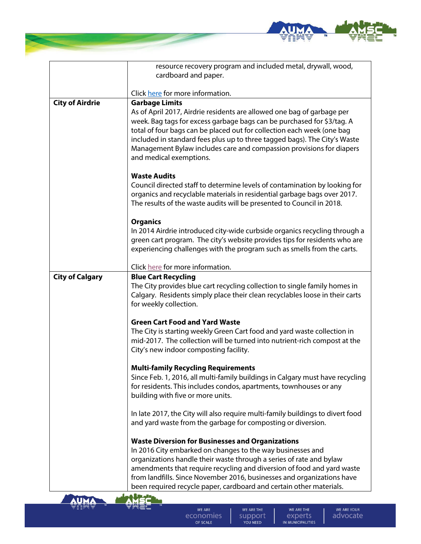

|                        | resource recovery program and included metal, drywall, wood,                                                                                                                                                                                                                                                                                                                                                                                               |
|------------------------|------------------------------------------------------------------------------------------------------------------------------------------------------------------------------------------------------------------------------------------------------------------------------------------------------------------------------------------------------------------------------------------------------------------------------------------------------------|
|                        | cardboard and paper.                                                                                                                                                                                                                                                                                                                                                                                                                                       |
|                        | Click here for more information.                                                                                                                                                                                                                                                                                                                                                                                                                           |
| <b>City of Airdrie</b> | <b>Garbage Limits</b><br>As of April 2017, Airdrie residents are allowed one bag of garbage per<br>week. Bag tags for excess garbage bags can be purchased for \$3/tag. A<br>total of four bags can be placed out for collection each week (one bag<br>included in standard fees plus up to three tagged bags). The City's Waste<br>Management Bylaw includes care and compassion provisions for diapers<br>and medical exemptions.<br><b>Waste Audits</b> |
|                        | Council directed staff to determine levels of contamination by looking for<br>organics and recyclable materials in residential garbage bags over 2017.<br>The results of the waste audits will be presented to Council in 2018.<br><b>Organics</b><br>In 2014 Airdrie introduced city-wide curbside organics recycling through a                                                                                                                           |
|                        | green cart program. The city's website provides tips for residents who are<br>experiencing challenges with the program such as smells from the carts.                                                                                                                                                                                                                                                                                                      |
|                        | Click here for more information.                                                                                                                                                                                                                                                                                                                                                                                                                           |
| <b>City of Calgary</b> | <b>Blue Cart Recycling</b><br>The City provides blue cart recycling collection to single family homes in<br>Calgary. Residents simply place their clean recyclables loose in their carts<br>for weekly collection.                                                                                                                                                                                                                                         |
|                        | <b>Green Cart Food and Yard Waste</b>                                                                                                                                                                                                                                                                                                                                                                                                                      |
|                        | The City is starting weekly Green Cart food and yard waste collection in<br>mid-2017. The collection will be turned into nutrient-rich compost at the<br>City's new indoor composting facility.                                                                                                                                                                                                                                                            |
|                        | <b>Multi-family Recycling Requirements</b>                                                                                                                                                                                                                                                                                                                                                                                                                 |
|                        | Since Feb. 1, 2016, all multi-family buildings in Calgary must have recycling<br>for residents. This includes condos, apartments, townhouses or any<br>building with five or more units.                                                                                                                                                                                                                                                                   |
|                        | In late 2017, the City will also require multi-family buildings to divert food<br>and yard waste from the garbage for composting or diversion.                                                                                                                                                                                                                                                                                                             |
|                        | <b>Waste Diversion for Businesses and Organizations</b><br>In 2016 City embarked on changes to the way businesses and<br>organizations handle their waste through a series of rate and bylaw<br>amendments that require recycling and diversion of food and yard waste                                                                                                                                                                                     |
|                        | from landfills. Since November 2016, businesses and organizations have<br>been required recycle paper, cardboard and certain other materials.                                                                                                                                                                                                                                                                                                              |



WE ARE economies

WE ARE THE SUPPORT

WE ARE THE EXPETTS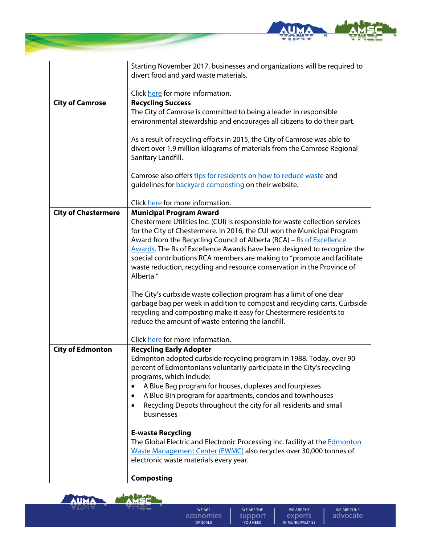

|                            | Starting November 2017, businesses and organizations will be required to                                                                           |
|----------------------------|----------------------------------------------------------------------------------------------------------------------------------------------------|
|                            | divert food and yard waste materials.                                                                                                              |
|                            | Click here for more information.                                                                                                                   |
| <b>City of Camrose</b>     | <b>Recycling Success</b>                                                                                                                           |
|                            | The City of Camrose is committed to being a leader in responsible                                                                                  |
|                            | environmental stewardship and encourages all citizens to do their part.                                                                            |
|                            |                                                                                                                                                    |
|                            | As a result of recycling efforts in 2015, the City of Camrose was able to                                                                          |
|                            | divert over 1.9 million kilograms of materials from the Camrose Regional                                                                           |
|                            | Sanitary Landfill.                                                                                                                                 |
|                            | Camrose also offers tips for residents on how to reduce waste and                                                                                  |
|                            | guidelines for <b>backyard</b> composting on their website.                                                                                        |
|                            |                                                                                                                                                    |
|                            | Click here for more information.                                                                                                                   |
| <b>City of Chestermere</b> | <b>Municipal Program Award</b>                                                                                                                     |
|                            | Chestermere Utilities Inc. (CUI) is responsible for waste collection services                                                                      |
|                            | for the City of Chestermere. In 2016, the CUI won the Municipal Program                                                                            |
|                            | Award from the Recycling Council of Alberta (RCA) - Rs of Excellence                                                                               |
|                            | Awards. The Rs of Excellence Awards have been designed to recognize the                                                                            |
|                            | special contributions RCA members are making to "promote and facilitate                                                                            |
|                            | waste reduction, recycling and resource conservation in the Province of                                                                            |
|                            | Alberta."                                                                                                                                          |
|                            |                                                                                                                                                    |
|                            | The City's curbside waste collection program has a limit of one clear<br>garbage bag per week in addition to compost and recycling carts. Curbside |
|                            | recycling and composting make it easy for Chestermere residents to                                                                                 |
|                            | reduce the amount of waste entering the landfill.                                                                                                  |
|                            |                                                                                                                                                    |
|                            | Click here for more information.                                                                                                                   |
| <b>City of Edmonton</b>    | <b>Recycling Early Adopter</b>                                                                                                                     |
|                            | Edmonton adopted curbside recycling program in 1988. Today, over 90                                                                                |
|                            | percent of Edmontonians voluntarily participate in the City's recycling                                                                            |
|                            | programs, which include:                                                                                                                           |
|                            | A Blue Bag program for houses, duplexes and fourplexes                                                                                             |
|                            | A Blue Bin program for apartments, condos and townhouses<br>٠                                                                                      |
|                            | Recycling Depots throughout the city for all residents and small<br>٠                                                                              |
|                            | businesses                                                                                                                                         |
|                            | <b>E-waste Recycling</b>                                                                                                                           |
|                            | The Global Electric and Electronic Processing Inc. facility at the Edmonton                                                                        |
|                            | Waste Management Center (EWMC) also recycles over 30,000 tonnes of                                                                                 |
|                            | electronic waste materials every year.                                                                                                             |
|                            |                                                                                                                                                    |
|                            | <b>Composting</b>                                                                                                                                  |



**September** 

WE ARE economies

WE ARE THE SUPPORT

WE ARE THE EXPETTS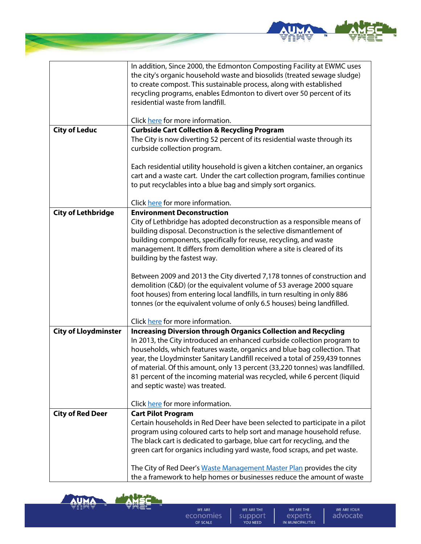

|                             | In addition, Since 2000, the Edmonton Composting Facility at EWMC uses       |
|-----------------------------|------------------------------------------------------------------------------|
|                             | the city's organic household waste and biosolids (treated sewage sludge)     |
|                             | to create compost. This sustainable process, along with established          |
|                             | recycling programs, enables Edmonton to divert over 50 percent of its        |
|                             | residential waste from landfill.                                             |
|                             |                                                                              |
|                             | Click here for more information.                                             |
| <b>City of Leduc</b>        | <b>Curbside Cart Collection &amp; Recycling Program</b>                      |
|                             | The City is now diverting 52 percent of its residential waste through its    |
|                             | curbside collection program.                                                 |
|                             |                                                                              |
|                             | Each residential utility household is given a kitchen container, an organics |
|                             | cart and a waste cart. Under the cart collection program, families continue  |
|                             | to put recyclables into a blue bag and simply sort organics.                 |
|                             |                                                                              |
|                             | Click here for more information.                                             |
| <b>City of Lethbridge</b>   | <b>Environment Deconstruction</b>                                            |
|                             | City of Lethbridge has adopted deconstruction as a responsible means of      |
|                             | building disposal. Deconstruction is the selective dismantlement of          |
|                             | building components, specifically for reuse, recycling, and waste            |
|                             | management. It differs from demolition where a site is cleared of its        |
|                             | building by the fastest way.                                                 |
|                             |                                                                              |
|                             | Between 2009 and 2013 the City diverted 7,178 tonnes of construction and     |
|                             | demolition (C&D) (or the equivalent volume of 53 average 2000 square         |
|                             | foot houses) from entering local landfills, in turn resulting in only 886    |
|                             | tonnes (or the equivalent volume of only 6.5 houses) being landfilled.       |
|                             |                                                                              |
|                             | Click here for more information.                                             |
| <b>City of Lloydminster</b> | <b>Increasing Diversion through Organics Collection and Recycling</b>        |
|                             | In 2013, the City introduced an enhanced curbside collection program to      |
|                             | households, which features waste, organics and blue bag collection. That     |
|                             | year, the Lloydminster Sanitary Landfill received a total of 259,439 tonnes  |
|                             | of material. Of this amount, only 13 percent (33,220 tonnes) was landfilled. |
|                             | 81 percent of the incoming material was recycled, while 6 percent (liquid    |
|                             | and septic waste) was treated.                                               |
|                             |                                                                              |
|                             | Click here for more information.                                             |
| <b>City of Red Deer</b>     | <b>Cart Pilot Program</b>                                                    |
|                             | Certain households in Red Deer have been selected to participate in a pilot  |
|                             | program using coloured carts to help sort and manage household refuse.       |
|                             | The black cart is dedicated to garbage, blue cart for recycling, and the     |
|                             | green cart for organics including yard waste, food scraps, and pet waste.    |
|                             |                                                                              |
|                             | The City of Red Deer's Waste Management Master Plan provides the city        |
|                             | the a framework to help homes or businesses reduce the amount of waste       |



**Seconds** 

WE ARE economies

WE ARE THE SUPPORT

WE ARE THE EXPETTS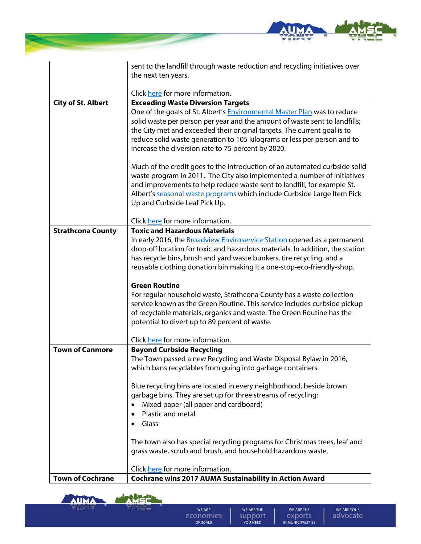

|                           | sent to the landfill through waste reduction and recycling initiatives over     |
|---------------------------|---------------------------------------------------------------------------------|
|                           | the next ten years.                                                             |
|                           | Click here for more information.                                                |
| <b>City of St. Albert</b> | <b>Exceeding Waste Diversion Targets</b>                                        |
|                           | One of the goals of St. Albert's <b>Environmental Master Plan</b> was to reduce |
|                           | solid waste per person per year and the amount of waste sent to landfills;      |
|                           | the City met and exceeded their original targets. The current goal is to        |
|                           | reduce solid waste generation to 105 kilograms or less per person and to        |
|                           | increase the diversion rate to 75 percent by 2020.                              |
|                           | Much of the credit goes to the introduction of an automated curbside solid      |
|                           | waste program in 2011. The City also implemented a number of initiatives        |
|                           | and improvements to help reduce waste sent to landfill, for example St.         |
|                           | Albert's seasonal waste programs which include Curbside Large Item Pick         |
|                           | Up and Curbside Leaf Pick Up.                                                   |
|                           | Click here for more information.                                                |
| <b>Strathcona County</b>  | <b>Toxic and Hazardous Materials</b>                                            |
|                           | In early 2016, the Broadview Enviroservice Station opened as a permanent        |
|                           | drop-off location for toxic and hazardous materials. In addition, the station   |
|                           | has recycle bins, brush and yard waste bunkers, tire recycling, and a           |
|                           | reusable clothing donation bin making it a one-stop-eco-friendly-shop.          |
|                           | <b>Green Routine</b>                                                            |
|                           | For regular household waste, Strathcona County has a waste collection           |
|                           | service known as the Green Routine. This service includes curbside pickup       |
|                           | of recyclable materials, organics and waste. The Green Routine has the          |
|                           | potential to divert up to 89 percent of waste.                                  |
|                           | Click here for more information.                                                |
| <b>Town of Canmore</b>    | <b>Beyond Curbside Recycling</b>                                                |
|                           | The Town passed a new Recycling and Waste Disposal Bylaw in 2016,               |
|                           | which bans recyclables from going into garbage containers.                      |
|                           | Blue recycling bins are located in every neighborhood, beside brown             |
|                           | garbage bins. They are set up for three streams of recycling:                   |
|                           | Mixed paper (all paper and cardboard)<br>$\bullet$                              |
|                           | Plastic and metal<br>$\bullet$                                                  |
|                           | Glass<br>$\bullet$                                                              |
|                           | The town also has special recycling programs for Christmas trees, leaf and      |
|                           | grass waste, scrub and brush, and household hazardous waste.                    |
|                           |                                                                                 |
|                           | Click here for more information.                                                |
| <b>Town of Cochrane</b>   | Cochrane wins 2017 AUMA Sustainability in Action Award                          |



**AUMA** 

WE ARE THE

SUPPORT

WE ARE THE

EXPETTS

WE ARE YOUR

advocate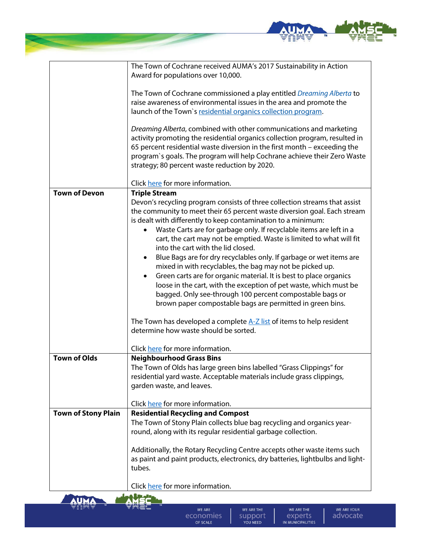

|                            | The Town of Cochrane received AUMA's 2017 Sustainability in Action               |
|----------------------------|----------------------------------------------------------------------------------|
|                            | Award for populations over 10,000.                                               |
|                            |                                                                                  |
|                            | The Town of Cochrane commissioned a play entitled Dreaming Alberta to            |
|                            | raise awareness of environmental issues in the area and promote the              |
|                            | launch of the Town's residential organics collection program.                    |
|                            |                                                                                  |
|                            | Dreaming Alberta, combined with other communications and marketing               |
|                            | activity promoting the residential organics collection program, resulted in      |
|                            |                                                                                  |
|                            | 65 percent residential waste diversion in the first month - exceeding the        |
|                            | program's goals. The program will help Cochrane achieve their Zero Waste         |
|                            | strategy; 80 percent waste reduction by 2020.                                    |
|                            |                                                                                  |
|                            | Click here for more information.                                                 |
| <b>Town of Devon</b>       | <b>Triple Stream</b>                                                             |
|                            | Devon's recycling program consists of three collection streams that assist       |
|                            | the community to meet their 65 percent waste diversion goal. Each stream         |
|                            | is dealt with differently to keep contamination to a minimum:                    |
|                            | Waste Carts are for garbage only. If recyclable items are left in a              |
|                            | cart, the cart may not be emptied. Waste is limited to what will fit             |
|                            | into the cart with the lid closed.                                               |
|                            | Blue Bags are for dry recyclables only. If garbage or wet items are<br>$\bullet$ |
|                            | mixed in with recyclables, the bag may not be picked up.                         |
|                            | Green carts are for organic material. It is best to place organics<br>$\bullet$  |
|                            |                                                                                  |
|                            | loose in the cart, with the exception of pet waste, which must be                |
|                            | bagged. Only see-through 100 percent compostable bags or                         |
|                            | brown paper compostable bags are permitted in green bins.                        |
|                            |                                                                                  |
|                            | The Town has developed a complete A-Z list of items to help resident             |
|                            | determine how waste should be sorted.                                            |
|                            |                                                                                  |
|                            | Click here for more information.                                                 |
| <b>Town of Olds</b>        | <b>Neighbourhood Grass Bins</b>                                                  |
|                            | The Town of Olds has large green bins labelled "Grass Clippings" for             |
|                            | residential yard waste. Acceptable materials include grass clippings,            |
|                            | garden waste, and leaves.                                                        |
|                            |                                                                                  |
|                            | Click here for more information.                                                 |
| <b>Town of Stony Plain</b> | <b>Residential Recycling and Compost</b>                                         |
|                            | The Town of Stony Plain collects blue bag recycling and organics year-           |
|                            | round, along with its regular residential garbage collection.                    |
|                            |                                                                                  |
|                            | Additionally, the Rotary Recycling Centre accepts other waste items such         |
|                            | as paint and paint products, electronics, dry batteries, lightbulbs and light-   |
|                            | tubes.                                                                           |
|                            |                                                                                  |
|                            | Click here for more information.                                                 |
|                            |                                                                                  |

**Service** 

**AUMA** 

WE ARE economies

WE ARE THE SUPPORT

WE ARE THE EXPETTS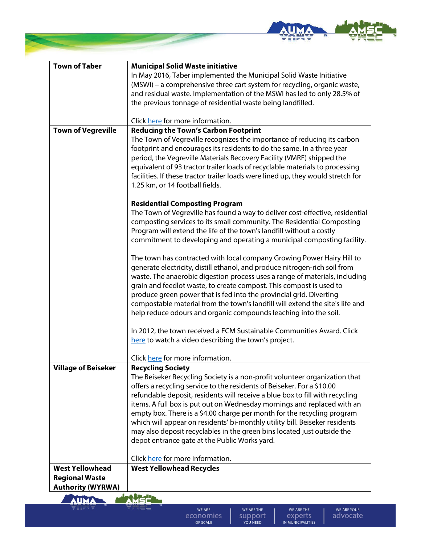

| <b>Town of Taber</b>       | <b>Municipal Solid Waste initiative</b>                                                                                                         |
|----------------------------|-------------------------------------------------------------------------------------------------------------------------------------------------|
|                            | In May 2016, Taber implemented the Municipal Solid Waste Initiative                                                                             |
|                            | (MSWI) - a comprehensive three cart system for recycling, organic waste,                                                                        |
|                            | and residual waste. Implementation of the MSWI has led to only 28.5% of                                                                         |
|                            | the previous tonnage of residential waste being landfilled.                                                                                     |
|                            |                                                                                                                                                 |
|                            | Click here for more information.                                                                                                                |
| <b>Town of Vegreville</b>  | <b>Reducing the Town's Carbon Footprint</b>                                                                                                     |
|                            | The Town of Vegreville recognizes the importance of reducing its carbon                                                                         |
|                            | footprint and encourages its residents to do the same. In a three year                                                                          |
|                            | period, the Vegreville Materials Recovery Facility (VMRF) shipped the                                                                           |
|                            | equivalent of 93 tractor trailer loads of recyclable materials to processing                                                                    |
|                            | facilities. If these tractor trailer loads were lined up, they would stretch for                                                                |
|                            | 1.25 km, or 14 football fields.                                                                                                                 |
|                            |                                                                                                                                                 |
|                            | <b>Residential Composting Program</b>                                                                                                           |
|                            | The Town of Vegreville has found a way to deliver cost-effective, residential                                                                   |
|                            | composting services to its small community. The Residential Composting                                                                          |
|                            | Program will extend the life of the town's landfill without a costly<br>commitment to developing and operating a municipal composting facility. |
|                            |                                                                                                                                                 |
|                            | The town has contracted with local company Growing Power Hairy Hill to                                                                          |
|                            | generate electricity, distill ethanol, and produce nitrogen-rich soil from                                                                      |
|                            | waste. The anaerobic digestion process uses a range of materials, including                                                                     |
|                            | grain and feedlot waste, to create compost. This compost is used to                                                                             |
|                            | produce green power that is fed into the provincial grid. Diverting                                                                             |
|                            | compostable material from the town's landfill will extend the site's life and                                                                   |
|                            | help reduce odours and organic compounds leaching into the soil.                                                                                |
|                            |                                                                                                                                                 |
|                            | In 2012, the town received a FCM Sustainable Communities Award. Click                                                                           |
|                            | here to watch a video describing the town's project.                                                                                            |
|                            |                                                                                                                                                 |
|                            | Click here for more information.                                                                                                                |
| <b>Village of Beiseker</b> | <b>Recycling Society</b>                                                                                                                        |
|                            | The Beiseker Recycling Society is a non-profit volunteer organization that                                                                      |
|                            | offers a recycling service to the residents of Beiseker. For a \$10.00                                                                          |
|                            | refundable deposit, residents will receive a blue box to fill with recycling                                                                    |
|                            | items. A full box is put out on Wednesday mornings and replaced with an                                                                         |
|                            | empty box. There is a \$4.00 charge per month for the recycling program                                                                         |
|                            | which will appear on residents' bi-monthly utility bill. Beiseker residents                                                                     |
|                            | may also deposit recyclables in the green bins located just outside the                                                                         |
|                            | depot entrance gate at the Public Works yard.                                                                                                   |
|                            | Click here for more information.                                                                                                                |
| <b>West Yellowhead</b>     | <b>West Yellowhead Recycles</b>                                                                                                                 |
| <b>Regional Waste</b>      |                                                                                                                                                 |
| <b>Authority (WYRWA)</b>   |                                                                                                                                                 |



WE ARE THE EXPETTS

WE ARE THE

SUPPORT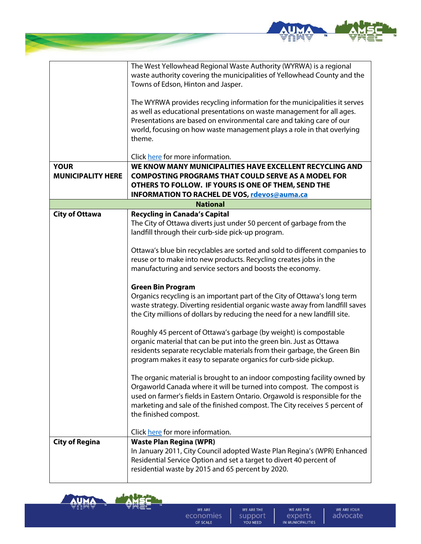

|                          | The West Yellowhead Regional Waste Authority (WYRWA) is a regional<br>waste authority covering the municipalities of Yellowhead County and the                                                                                                                                                                                           |
|--------------------------|------------------------------------------------------------------------------------------------------------------------------------------------------------------------------------------------------------------------------------------------------------------------------------------------------------------------------------------|
|                          | Towns of Edson, Hinton and Jasper.                                                                                                                                                                                                                                                                                                       |
|                          | The WYRWA provides recycling information for the municipalities it serves<br>as well as educational presentations on waste management for all ages.<br>Presentations are based on environmental care and taking care of our<br>world, focusing on how waste management plays a role in that overlying<br>theme.                          |
|                          | Click here for more information.                                                                                                                                                                                                                                                                                                         |
| <b>YOUR</b>              | WE KNOW MANY MUNICIPALITIES HAVE EXCELLENT RECYCLING AND                                                                                                                                                                                                                                                                                 |
| <b>MUNICIPALITY HERE</b> | <b>COMPOSTING PROGRAMS THAT COULD SERVE AS A MODEL FOR</b>                                                                                                                                                                                                                                                                               |
|                          | OTHERS TO FOLLOW. IF YOURS IS ONE OF THEM, SEND THE                                                                                                                                                                                                                                                                                      |
|                          | <b>INFORMATION TO RACHEL DE VOS, rdevos@auma.ca</b>                                                                                                                                                                                                                                                                                      |
|                          | <b>National</b>                                                                                                                                                                                                                                                                                                                          |
| <b>City of Ottawa</b>    | <b>Recycling in Canada's Capital</b><br>The City of Ottawa diverts just under 50 percent of garbage from the<br>landfill through their curb-side pick-up program.                                                                                                                                                                        |
|                          | Ottawa's blue bin recyclables are sorted and sold to different companies to<br>reuse or to make into new products. Recycling creates jobs in the<br>manufacturing and service sectors and boosts the economy.                                                                                                                            |
|                          | <b>Green Bin Program</b>                                                                                                                                                                                                                                                                                                                 |
|                          | Organics recycling is an important part of the City of Ottawa's long term<br>waste strategy. Diverting residential organic waste away from landfill saves<br>the City millions of dollars by reducing the need for a new landfill site.                                                                                                  |
|                          | Roughly 45 percent of Ottawa's garbage (by weight) is compostable<br>organic material that can be put into the green bin. Just as Ottawa<br>residents separate recyclable materials from their garbage, the Green Bin<br>program makes it easy to separate organics for curb-side pickup.                                                |
|                          | The organic material is brought to an indoor composting facility owned by<br>Orgaworld Canada where it will be turned into compost. The compost is<br>used on farmer's fields in Eastern Ontario. Orgawold is responsible for the<br>marketing and sale of the finished compost. The City receives 5 percent of<br>the finished compost. |
|                          | Click here for more information.                                                                                                                                                                                                                                                                                                         |
| <b>City of Regina</b>    | <b>Waste Plan Regina (WPR)</b><br>In January 2011, City Council adopted Waste Plan Regina's (WPR) Enhanced<br>Residential Service Option and set a target to divert 40 percent of<br>residential waste by 2015 and 65 percent by 2020.                                                                                                   |



WE ARE THE SUPPORT

WE ARE THE EXPETTS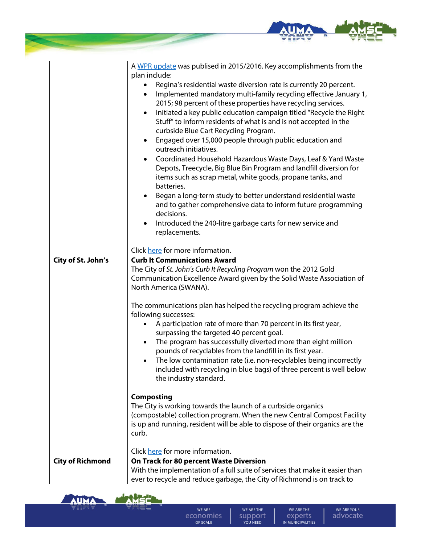

|                         | A WPR update was publised in 2015/2016. Key accomplishments from the             |
|-------------------------|----------------------------------------------------------------------------------|
|                         | plan include:                                                                    |
|                         | Regina's residential waste diversion rate is currently 20 percent.<br>٠          |
|                         | Implemented mandatory multi-family recycling effective January 1,<br>$\bullet$   |
|                         | 2015; 98 percent of these properties have recycling services.                    |
|                         | Initiated a key public education campaign titled "Recycle the Right<br>$\bullet$ |
|                         | Stuff" to inform residents of what is and is not accepted in the                 |
|                         | curbside Blue Cart Recycling Program.                                            |
|                         | Engaged over 15,000 people through public education and<br>$\bullet$             |
|                         | outreach initiatives.                                                            |
|                         | Coordinated Household Hazardous Waste Days, Leaf & Yard Waste<br>$\bullet$       |
|                         | Depots, Treecycle, Big Blue Bin Program and landfill diversion for               |
|                         | items such as scrap metal, white goods, propane tanks, and                       |
|                         | batteries.                                                                       |
|                         | Began a long-term study to better understand residential waste<br>٠              |
|                         | and to gather comprehensive data to inform future programming                    |
|                         | decisions.                                                                       |
|                         | Introduced the 240-litre garbage carts for new service and<br>٠                  |
|                         | replacements.                                                                    |
|                         |                                                                                  |
|                         | Click here for more information.                                                 |
| City of St. John's      | <b>Curb It Communications Award</b>                                              |
|                         | The City of St. John's Curb It Recycling Program won the 2012 Gold               |
|                         | Communication Excellence Award given by the Solid Waste Association of           |
|                         | North America (SWANA).                                                           |
|                         |                                                                                  |
|                         | The communications plan has helped the recycling program achieve the             |
|                         | following successes:                                                             |
|                         | A participation rate of more than 70 percent in its first year,<br>$\bullet$     |
|                         | surpassing the targeted 40 percent goal.                                         |
|                         | The program has successfully diverted more than eight million<br>٠               |
|                         | pounds of recyclables from the landfill in its first year.                       |
|                         | The low contamination rate (i.e. non-recyclables being incorrectly               |
|                         | included with recycling in blue bags) of three percent is well below             |
|                         | the industry standard.                                                           |
|                         | <b>Composting</b>                                                                |
|                         | The City is working towards the launch of a curbside organics                    |
|                         | (compostable) collection program. When the new Central Compost Facility          |
|                         | is up and running, resident will be able to dispose of their organics are the    |
|                         | curb.                                                                            |
|                         |                                                                                  |
|                         | Click here for more information.                                                 |
| <b>City of Richmond</b> | On Track for 80 percent Waste Diversion                                          |
|                         | With the implementation of a full suite of services that make it easier than     |
|                         |                                                                                  |



WE ARE THE SUPPORT

WE ARE THE EXPETTS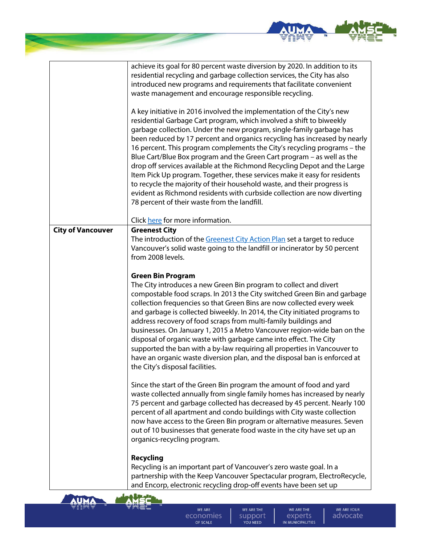



**WE ARE** economies OF SCALE

WE ARE THE support YOU NEED

WE ARE THE experts IN MUNICIPALITIES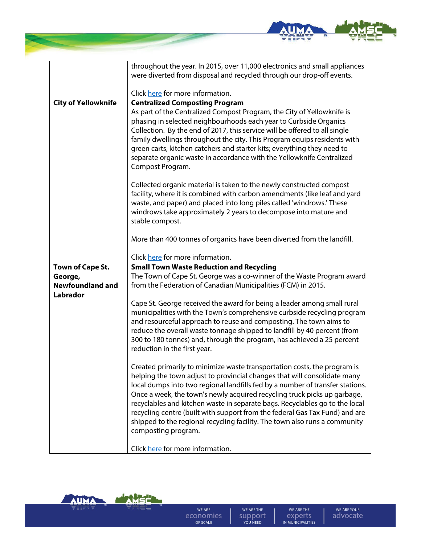

|                            | throughout the year. In 2015, over 11,000 electronics and small appliances<br>were diverted from disposal and recycled through our drop-off events.                                                                                                                                                                                                                                                                                                                                                                                                                                  |
|----------------------------|--------------------------------------------------------------------------------------------------------------------------------------------------------------------------------------------------------------------------------------------------------------------------------------------------------------------------------------------------------------------------------------------------------------------------------------------------------------------------------------------------------------------------------------------------------------------------------------|
|                            | Click here for more information.                                                                                                                                                                                                                                                                                                                                                                                                                                                                                                                                                     |
|                            |                                                                                                                                                                                                                                                                                                                                                                                                                                                                                                                                                                                      |
| <b>City of Yellowknife</b> | <b>Centralized Composting Program</b><br>As part of the Centralized Compost Program, the City of Yellowknife is<br>phasing in selected neighbourhoods each year to Curbside Organics<br>Collection. By the end of 2017, this service will be offered to all single<br>family dwellings throughout the city. This Program equips residents with<br>green carts, kitchen catchers and starter kits; everything they need to<br>separate organic waste in accordance with the Yellowknife Centralized<br>Compost Program.                                                               |
|                            | Collected organic material is taken to the newly constructed compost<br>facility, where it is combined with carbon amendments (like leaf and yard<br>waste, and paper) and placed into long piles called 'windrows.' These<br>windrows take approximately 2 years to decompose into mature and<br>stable compost.                                                                                                                                                                                                                                                                    |
|                            | More than 400 tonnes of organics have been diverted from the landfill.                                                                                                                                                                                                                                                                                                                                                                                                                                                                                                               |
|                            | Click here for more information.                                                                                                                                                                                                                                                                                                                                                                                                                                                                                                                                                     |
| <b>Town of Cape St.</b>    | <b>Small Town Waste Reduction and Recycling</b>                                                                                                                                                                                                                                                                                                                                                                                                                                                                                                                                      |
| George,                    | The Town of Cape St. George was a co-winner of the Waste Program award                                                                                                                                                                                                                                                                                                                                                                                                                                                                                                               |
| <b>Newfoundland and</b>    | from the Federation of Canadian Municipalities (FCM) in 2015.                                                                                                                                                                                                                                                                                                                                                                                                                                                                                                                        |
| <b>Labrador</b>            |                                                                                                                                                                                                                                                                                                                                                                                                                                                                                                                                                                                      |
|                            | Cape St. George received the award for being a leader among small rural<br>municipalities with the Town's comprehensive curbside recycling program<br>and resourceful approach to reuse and composting. The town aims to<br>reduce the overall waste tonnage shipped to landfill by 40 percent (from<br>300 to 180 tonnes) and, through the program, has achieved a 25 percent<br>reduction in the first year.                                                                                                                                                                       |
|                            | Created primarily to minimize waste transportation costs, the program is<br>helping the town adjust to provincial changes that will consolidate many<br>local dumps into two regional landfills fed by a number of transfer stations.<br>Once a week, the town's newly acquired recycling truck picks up garbage,<br>recyclables and kitchen waste in separate bags. Recyclables go to the local<br>recycling centre (built with support from the federal Gas Tax Fund) and are<br>shipped to the regional recycling facility. The town also runs a community<br>composting program. |
|                            | Click here for more information.                                                                                                                                                                                                                                                                                                                                                                                                                                                                                                                                                     |



WE ARE THE SUPPORT

WE ARE THE EXPETTS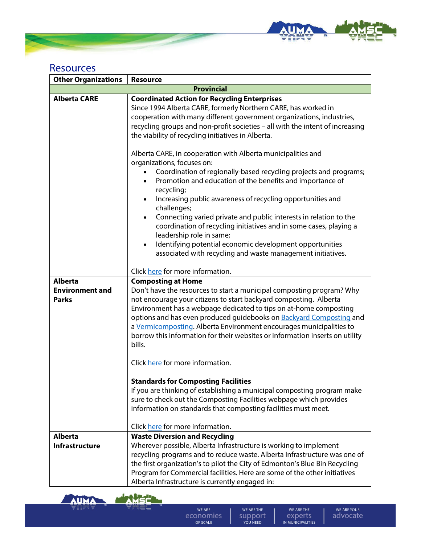

## Resources

| <b>Other Organizations</b> | <b>Resource</b>                                                                |
|----------------------------|--------------------------------------------------------------------------------|
|                            | <b>Provincial</b>                                                              |
| <b>Alberta CARE</b>        | <b>Coordinated Action for Recycling Enterprises</b>                            |
|                            | Since 1994 Alberta CARE, formerly Northern CARE, has worked in                 |
|                            | cooperation with many different government organizations, industries,          |
|                            | recycling groups and non-profit societies - all with the intent of increasing  |
|                            | the viability of recycling initiatives in Alberta.                             |
|                            |                                                                                |
|                            | Alberta CARE, in cooperation with Alberta municipalities and                   |
|                            | organizations, focuses on:                                                     |
|                            | Coordination of regionally-based recycling projects and programs;              |
|                            | Promotion and education of the benefits and importance of<br>$\bullet$         |
|                            | recycling;                                                                     |
|                            | Increasing public awareness of recycling opportunities and<br>$\bullet$        |
|                            | challenges;                                                                    |
|                            | Connecting varied private and public interests in relation to the<br>$\bullet$ |
|                            | coordination of recycling initiatives and in some cases, playing a             |
|                            | leadership role in same;                                                       |
|                            | Identifying potential economic development opportunities<br>$\bullet$          |
|                            | associated with recycling and waste management initiatives.                    |
|                            |                                                                                |
|                            | Click here for more information.                                               |
| <b>Alberta</b>             | <b>Composting at Home</b>                                                      |
| <b>Environment and</b>     | Don't have the resources to start a municipal composting program? Why          |
| <b>Parks</b>               | not encourage your citizens to start backyard composting. Alberta              |
|                            | Environment has a webpage dedicated to tips on at-home composting              |
|                            | options and has even produced guidebooks on <b>Backyard Composting</b> and     |
|                            | a Vermicomposting. Alberta Environment encourages municipalities to            |
|                            | borrow this information for their websites or information inserts on utility   |
|                            | bills.                                                                         |
|                            |                                                                                |
|                            | Click here for more information.                                               |
|                            | <b>Standards for Composting Facilities</b>                                     |
|                            | If you are thinking of establishing a municipal composting program make        |
|                            | sure to check out the Composting Facilities webpage which provides             |
|                            | information on standards that composting facilities must meet.                 |
|                            |                                                                                |
|                            | Click here for more information.                                               |
| <b>Alberta</b>             | <b>Waste Diversion and Recycling</b>                                           |
| <b>Infrastructure</b>      | Wherever possible, Alberta Infrastructure is working to implement              |
|                            | recycling programs and to reduce waste. Alberta Infrastructure was one of      |
|                            | the first organization's to pilot the City of Edmonton's Blue Bin Recycling    |
|                            | Program for Commercial facilities. Here are some of the other initiatives      |
|                            | Alberta Infrastructure is currently engaged in:                                |



WE ARE economies

WE ARE THE SUPPORT

WE ARE THE EXPETTS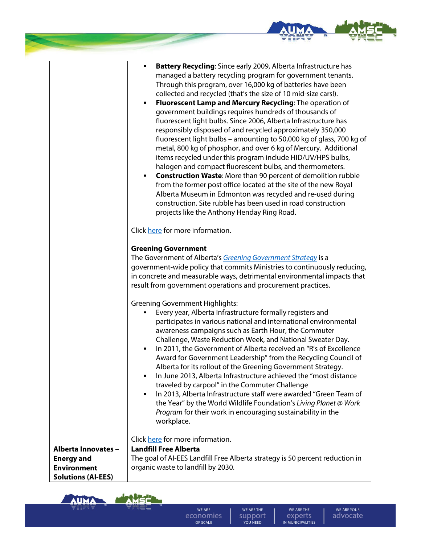

٦

|                                                                                             | <b>Battery Recycling:</b> Since early 2009, Alberta Infrastructure has<br>managed a battery recycling program for government tenants.<br>Through this program, over 16,000 kg of batteries have been<br>collected and recycled (that's the size of 10 mid-size cars!).<br>Fluorescent Lamp and Mercury Recycling: The operation of<br>٠<br>government buildings requires hundreds of thousands of<br>fluorescent light bulbs. Since 2006, Alberta Infrastructure has<br>responsibly disposed of and recycled approximately 350,000<br>fluorescent light bulbs - amounting to 50,000 kg of glass, 700 kg of<br>metal, 800 kg of phosphor, and over 6 kg of Mercury. Additional<br>items recycled under this program include HID/UV/HPS bulbs,<br>halogen and compact fluorescent bulbs, and thermometers.<br><b>Construction Waste: More than 90 percent of demolition rubble</b><br>٠<br>from the former post office located at the site of the new Royal<br>Alberta Museum in Edmonton was recycled and re-used during<br>construction. Site rubble has been used in road construction<br>projects like the Anthony Henday Ring Road. |
|---------------------------------------------------------------------------------------------|----------------------------------------------------------------------------------------------------------------------------------------------------------------------------------------------------------------------------------------------------------------------------------------------------------------------------------------------------------------------------------------------------------------------------------------------------------------------------------------------------------------------------------------------------------------------------------------------------------------------------------------------------------------------------------------------------------------------------------------------------------------------------------------------------------------------------------------------------------------------------------------------------------------------------------------------------------------------------------------------------------------------------------------------------------------------------------------------------------------------------------------|
|                                                                                             | Click here for more information.                                                                                                                                                                                                                                                                                                                                                                                                                                                                                                                                                                                                                                                                                                                                                                                                                                                                                                                                                                                                                                                                                                       |
|                                                                                             | <b>Greening Government</b><br>The Government of Alberta's Greening Government Strategy is a<br>government-wide policy that commits Ministries to continuously reducing,<br>in concrete and measurable ways, detrimental environmental impacts that<br>result from government operations and procurement practices.                                                                                                                                                                                                                                                                                                                                                                                                                                                                                                                                                                                                                                                                                                                                                                                                                     |
|                                                                                             | <b>Greening Government Highlights:</b><br>Every year, Alberta Infrastructure formally registers and<br>participates in various national and international environmental<br>awareness campaigns such as Earth Hour, the Commuter<br>Challenge, Waste Reduction Week, and National Sweater Day.<br>In 2011, the Government of Alberta received an "R's of Excellence<br>٠<br>Award for Government Leadership" from the Recycling Council of<br>Alberta for its rollout of the Greening Government Strategy.<br>In June 2013, Alberta Infrastructure achieved the "most distance<br>٠<br>traveled by carpool" in the Commuter Challenge<br>In 2013, Alberta Infrastructure staff were awarded "Green Team of<br>٠<br>the Year" by the World Wildlife Foundation's Living Planet @ Work<br>Program for their work in encouraging sustainability in the<br>workplace.                                                                                                                                                                                                                                                                       |
|                                                                                             | Click here for more information.                                                                                                                                                                                                                                                                                                                                                                                                                                                                                                                                                                                                                                                                                                                                                                                                                                                                                                                                                                                                                                                                                                       |
| Alberta Innovates -<br><b>Energy and</b><br><b>Environment</b><br><b>Solutions (AI-EES)</b> | <b>Landfill Free Alberta</b><br>The goal of AI-EES Landfill Free Alberta strategy is 50 percent reduction in<br>organic waste to landfill by 2030.                                                                                                                                                                                                                                                                                                                                                                                                                                                                                                                                                                                                                                                                                                                                                                                                                                                                                                                                                                                     |



 $\mathsf{r}$ 

WE ARE economies

WE ARE THE SUPPORT

WE ARE THE EXPETTS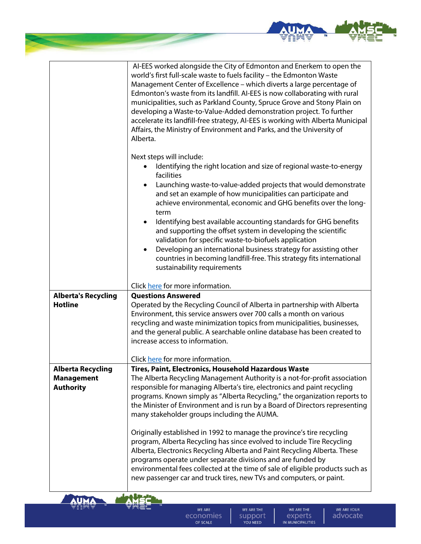

|                                              | AI-EES worked alongside the City of Edmonton and Enerkem to open the<br>world's first full-scale waste to fuels facility - the Edmonton Waste<br>Management Center of Excellence - which diverts a large percentage of<br>Edmonton's waste from its landfill. AI-EES is now collaborating with rural<br>municipalities, such as Parkland County, Spruce Grove and Stony Plain on<br>developing a Waste-to-Value-Added demonstration project. To further<br>accelerate its landfill-free strategy, AI-EES is working with Alberta Municipal<br>Affairs, the Ministry of Environment and Parks, and the University of<br>Alberta.                                                                                    |
|----------------------------------------------|--------------------------------------------------------------------------------------------------------------------------------------------------------------------------------------------------------------------------------------------------------------------------------------------------------------------------------------------------------------------------------------------------------------------------------------------------------------------------------------------------------------------------------------------------------------------------------------------------------------------------------------------------------------------------------------------------------------------|
|                                              | Next steps will include:<br>Identifying the right location and size of regional waste-to-energy<br>facilities<br>Launching waste-to-value-added projects that would demonstrate<br>and set an example of how municipalities can participate and<br>achieve environmental, economic and GHG benefits over the long-<br>term<br>Identifying best available accounting standards for GHG benefits<br>$\bullet$<br>and supporting the offset system in developing the scientific<br>validation for specific waste-to-biofuels application<br>Developing an international business strategy for assisting other<br>countries in becoming landfill-free. This strategy fits international<br>sustainability requirements |
|                                              | Click here for more information.<br><b>Questions Answered</b>                                                                                                                                                                                                                                                                                                                                                                                                                                                                                                                                                                                                                                                      |
| <b>Alberta's Recycling</b><br><b>Hotline</b> | Operated by the Recycling Council of Alberta in partnership with Alberta<br>Environment, this service answers over 700 calls a month on various<br>recycling and waste minimization topics from municipalities, businesses,<br>and the general public. A searchable online database has been created to<br>increase access to information.<br>Click here for more information.                                                                                                                                                                                                                                                                                                                                     |
| <b>Alberta Recycling</b>                     | Tires, Paint, Electronics, Household Hazardous Waste                                                                                                                                                                                                                                                                                                                                                                                                                                                                                                                                                                                                                                                               |
| <b>Management</b><br><b>Authority</b>        | The Alberta Recycling Management Authority is a not-for-profit association<br>responsible for managing Alberta's tire, electronics and paint recycling<br>programs. Known simply as "Alberta Recycling," the organization reports to<br>the Minister of Environment and is run by a Board of Directors representing<br>many stakeholder groups including the AUMA.<br>Originally established in 1992 to manage the province's tire recycling<br>program, Alberta Recycling has since evolved to include Tire Recycling                                                                                                                                                                                             |
|                                              | Alberta, Electronics Recycling Alberta and Paint Recycling Alberta. These<br>programs operate under separate divisions and are funded by<br>environmental fees collected at the time of sale of eligible products such as<br>new passenger car and truck tires, new TVs and computers, or paint.                                                                                                                                                                                                                                                                                                                                                                                                                   |



**Service** 

WE ARE economies

WE ARE THE SUPPORT

WE ARE THE EXPETTS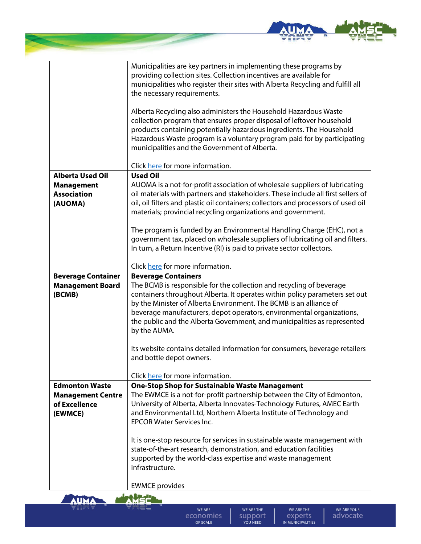

|                                           | Municipalities are key partners in implementing these programs by                                                                |
|-------------------------------------------|----------------------------------------------------------------------------------------------------------------------------------|
|                                           | providing collection sites. Collection incentives are available for                                                              |
|                                           | municipalities who register their sites with Alberta Recycling and fulfill all                                                   |
|                                           | the necessary requirements.                                                                                                      |
|                                           |                                                                                                                                  |
|                                           | Alberta Recycling also administers the Household Hazardous Waste                                                                 |
|                                           | collection program that ensures proper disposal of leftover household                                                            |
|                                           | products containing potentially hazardous ingredients. The Household                                                             |
|                                           | Hazardous Waste program is a voluntary program paid for by participating                                                         |
|                                           | municipalities and the Government of Alberta.                                                                                    |
|                                           |                                                                                                                                  |
|                                           | Click here for more information.                                                                                                 |
| <b>Alberta Used Oil</b>                   | <b>Used Oil</b>                                                                                                                  |
| <b>Management</b>                         | AUOMA is a not-for-profit association of wholesale suppliers of lubricating                                                      |
| <b>Association</b>                        | oil materials with partners and stakeholders. These include all first sellers of                                                 |
| (AUOMA)                                   | oil, oil filters and plastic oil containers; collectors and processors of used oil                                               |
|                                           | materials; provincial recycling organizations and government.                                                                    |
|                                           |                                                                                                                                  |
|                                           | The program is funded by an Environmental Handling Charge (EHC), not a                                                           |
|                                           | government tax, placed on wholesale suppliers of lubricating oil and filters.                                                    |
|                                           | In turn, a Return Incentive (RI) is paid to private sector collectors.                                                           |
|                                           | Click here for more information.                                                                                                 |
| <b>Beverage Container</b>                 | <b>Beverage Containers</b>                                                                                                       |
| <b>Management Board</b>                   | The BCMB is responsible for the collection and recycling of beverage                                                             |
| (BCMB)                                    | containers throughout Alberta. It operates within policy parameters set out                                                      |
|                                           | by the Minister of Alberta Environment. The BCMB is an alliance of                                                               |
|                                           | beverage manufacturers, depot operators, environmental organizations,                                                            |
|                                           | the public and the Alberta Government, and municipalities as represented                                                         |
|                                           | by the AUMA.                                                                                                                     |
|                                           |                                                                                                                                  |
|                                           | Its website contains detailed information for consumers, beverage retailers                                                      |
|                                           | and bottle depot owners.                                                                                                         |
|                                           |                                                                                                                                  |
| <b>Edmonton Waste</b>                     | Click here for more information.                                                                                                 |
|                                           | <b>One-Stop Shop for Sustainable Waste Management</b><br>The EWMCE is a not-for-profit partnership between the City of Edmonton, |
| <b>Management Centre</b><br>of Excellence | University of Alberta, Alberta Innovates-Technology Futures, AMEC Earth                                                          |
|                                           | and Environmental Ltd, Northern Alberta Institute of Technology and                                                              |
| (EWMCE)                                   | <b>EPCOR Water Services Inc.</b>                                                                                                 |
|                                           |                                                                                                                                  |
|                                           | It is one-stop resource for services in sustainable waste management with                                                        |
|                                           | state-of-the-art research, demonstration, and education facilities                                                               |
|                                           | supported by the world-class expertise and waste management                                                                      |
|                                           | infrastructure.                                                                                                                  |
|                                           |                                                                                                                                  |
|                                           | <b>EWMCE</b> provides                                                                                                            |



细样

**The Company**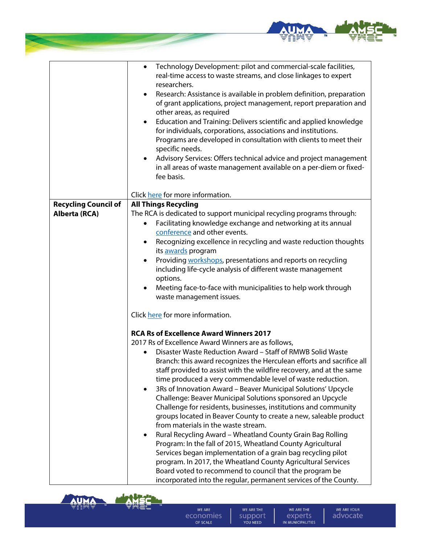

|                                              | Technology Development: pilot and commercial-scale facilities,<br>$\bullet$<br>real-time access to waste streams, and close linkages to expert<br>researchers.<br>Research: Assistance is available in problem definition, preparation<br>$\bullet$<br>of grant applications, project management, report preparation and<br>other areas, as required<br>Education and Training: Delivers scientific and applied knowledge<br>$\bullet$<br>for individuals, corporations, associations and institutions.<br>Programs are developed in consultation with clients to meet their<br>specific needs.<br>Advisory Services: Offers technical advice and project management<br>$\bullet$                                                                                                                                                                                                                                                       |
|----------------------------------------------|-----------------------------------------------------------------------------------------------------------------------------------------------------------------------------------------------------------------------------------------------------------------------------------------------------------------------------------------------------------------------------------------------------------------------------------------------------------------------------------------------------------------------------------------------------------------------------------------------------------------------------------------------------------------------------------------------------------------------------------------------------------------------------------------------------------------------------------------------------------------------------------------------------------------------------------------|
|                                              | in all areas of waste management available on a per-diem or fixed-<br>fee basis.                                                                                                                                                                                                                                                                                                                                                                                                                                                                                                                                                                                                                                                                                                                                                                                                                                                        |
|                                              | Click here for more information.                                                                                                                                                                                                                                                                                                                                                                                                                                                                                                                                                                                                                                                                                                                                                                                                                                                                                                        |
| <b>Recycling Council of</b><br>Alberta (RCA) | <b>All Things Recycling</b><br>The RCA is dedicated to support municipal recycling programs through:<br>Facilitating knowledge exchange and networking at its annual<br>$\bullet$<br>conference and other events.<br>Recognizing excellence in recycling and waste reduction thoughts<br>$\bullet$<br>its <b>awards</b> program<br>Providing workshops, presentations and reports on recycling<br>٠<br>including life-cycle analysis of different waste management<br>options.<br>Meeting face-to-face with municipalities to help work through<br>waste management issues.<br>Click here for more information.<br><b>RCA Rs of Excellence Award Winners 2017</b><br>2017 Rs of Excellence Award Winners are as follows,<br>Disaster Waste Reduction Award - Staff of RMWB Solid Waste<br>Branch: this award recognizes the Herculean efforts and sacrifice all<br>staff provided to assist with the wildfire recovery, and at the same |
|                                              | time produced a very commendable level of waste reduction.<br>3Rs of Innovation Award - Beaver Municipal Solutions' Upcycle<br>$\bullet$<br>Challenge: Beaver Municipal Solutions sponsored an Upcycle<br>Challenge for residents, businesses, institutions and community<br>groups located in Beaver County to create a new, saleable product<br>from materials in the waste stream.<br>Rural Recycling Award - Wheatland County Grain Bag Rolling<br>$\bullet$<br>Program: In the fall of 2015, Wheatland County Agricultural<br>Services began implementation of a grain bag recycling pilot<br>program. In 2017, the Wheatland County Agricultural Services<br>Board voted to recommend to council that the program be<br>incorporated into the regular, permanent services of the County.                                                                                                                                          |



**Service** 

WE ARE economies

WE ARE THE SUPPORT

WE ARE THE EXPETTS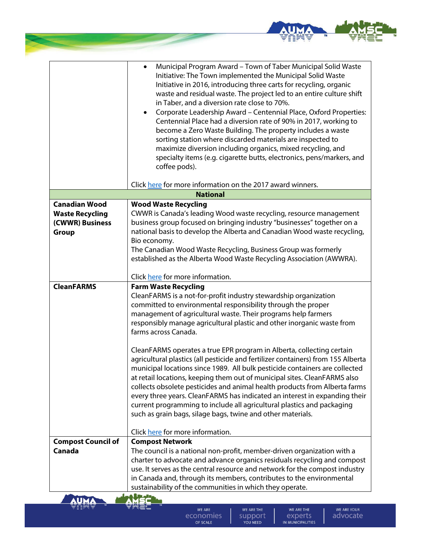

|                                           | Municipal Program Award - Town of Taber Municipal Solid Waste<br>$\bullet$<br>Initiative: The Town implemented the Municipal Solid Waste<br>Initiative in 2016, introducing three carts for recycling, organic<br>waste and residual waste. The project led to an entire culture shift<br>in Taber, and a diversion rate close to 70%.<br>Corporate Leadership Award - Centennial Place, Oxford Properties:<br>$\bullet$<br>Centennial Place had a diversion rate of 90% in 2017, working to<br>become a Zero Waste Building. The property includes a waste<br>sorting station where discarded materials are inspected to<br>maximize diversion including organics, mixed recycling, and<br>specialty items (e.g. cigarette butts, electronics, pens/markers, and<br>coffee pods). |
|-------------------------------------------|------------------------------------------------------------------------------------------------------------------------------------------------------------------------------------------------------------------------------------------------------------------------------------------------------------------------------------------------------------------------------------------------------------------------------------------------------------------------------------------------------------------------------------------------------------------------------------------------------------------------------------------------------------------------------------------------------------------------------------------------------------------------------------|
|                                           | Click here for more information on the 2017 award winners.                                                                                                                                                                                                                                                                                                                                                                                                                                                                                                                                                                                                                                                                                                                         |
|                                           | <b>National</b>                                                                                                                                                                                                                                                                                                                                                                                                                                                                                                                                                                                                                                                                                                                                                                    |
| <b>Canadian Wood</b>                      | <b>Wood Waste Recycling</b><br>CWWR is Canada's leading Wood waste recycling, resource management                                                                                                                                                                                                                                                                                                                                                                                                                                                                                                                                                                                                                                                                                  |
| <b>Waste Recycling</b><br>(CWWR) Business | business group focused on bringing industry "businesses" together on a                                                                                                                                                                                                                                                                                                                                                                                                                                                                                                                                                                                                                                                                                                             |
| Group                                     | national basis to develop the Alberta and Canadian Wood waste recycling,                                                                                                                                                                                                                                                                                                                                                                                                                                                                                                                                                                                                                                                                                                           |
|                                           | Bio economy.                                                                                                                                                                                                                                                                                                                                                                                                                                                                                                                                                                                                                                                                                                                                                                       |
|                                           | The Canadian Wood Waste Recycling, Business Group was formerly                                                                                                                                                                                                                                                                                                                                                                                                                                                                                                                                                                                                                                                                                                                     |
|                                           | established as the Alberta Wood Waste Recycling Association (AWWRA).                                                                                                                                                                                                                                                                                                                                                                                                                                                                                                                                                                                                                                                                                                               |
|                                           | Click here for more information.                                                                                                                                                                                                                                                                                                                                                                                                                                                                                                                                                                                                                                                                                                                                                   |
| <b>CleanFARMS</b>                         | <b>Farm Waste Recycling</b>                                                                                                                                                                                                                                                                                                                                                                                                                                                                                                                                                                                                                                                                                                                                                        |
|                                           | CleanFARMS is a not-for-profit industry stewardship organization<br>committed to environmental responsibility through the proper<br>management of agricultural waste. Their programs help farmers<br>responsibly manage agricultural plastic and other inorganic waste from<br>farms across Canada.                                                                                                                                                                                                                                                                                                                                                                                                                                                                                |
|                                           | CleanFARMS operates a true EPR program in Alberta, collecting certain<br>agricultural plastics (all pesticide and fertilizer containers) from 155 Alberta<br>municipal locations since 1989. All bulk pesticide containers are collected<br>at retail locations, keeping them out of municipal sites. CleanFARMS also<br>collects obsolete pesticides and animal health products from Alberta farms<br>every three years. CleanFARMS has indicated an interest in expanding their<br>current programming to include all agricultural plastics and packaging<br>such as grain bags, silage bags, twine and other materials.                                                                                                                                                         |
|                                           | Click here for more information.                                                                                                                                                                                                                                                                                                                                                                                                                                                                                                                                                                                                                                                                                                                                                   |
| <b>Compost Council of</b>                 | <b>Compost Network</b>                                                                                                                                                                                                                                                                                                                                                                                                                                                                                                                                                                                                                                                                                                                                                             |
| Canada                                    | The council is a national non-profit, member-driven organization with a                                                                                                                                                                                                                                                                                                                                                                                                                                                                                                                                                                                                                                                                                                            |
|                                           | charter to advocate and advance organics residuals recycling and compost<br>use. It serves as the central resource and network for the compost industry                                                                                                                                                                                                                                                                                                                                                                                                                                                                                                                                                                                                                            |
|                                           | in Canada and, through its members, contributes to the environmental                                                                                                                                                                                                                                                                                                                                                                                                                                                                                                                                                                                                                                                                                                               |
|                                           | sustainability of the communities in which they operate.                                                                                                                                                                                                                                                                                                                                                                                                                                                                                                                                                                                                                                                                                                                           |
|                                           |                                                                                                                                                                                                                                                                                                                                                                                                                                                                                                                                                                                                                                                                                                                                                                                    |
|                                           | WE ARE THE<br><b>WE ARE THE</b><br><b>WE ARE</b><br><b>WE ARE YOUR</b>                                                                                                                                                                                                                                                                                                                                                                                                                                                                                                                                                                                                                                                                                                             |

**September** 

WE ARE economies

WE ARE THE SUPPORT

WE ARE THE EXPETTS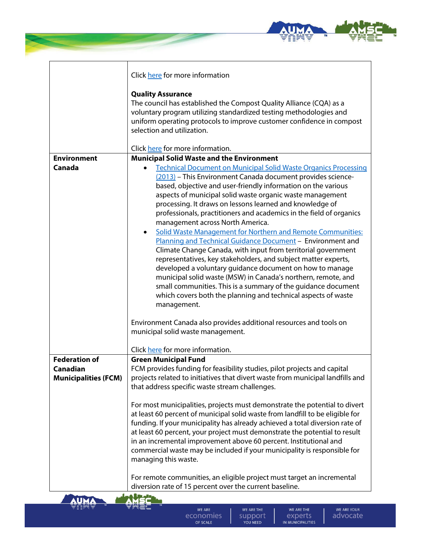

|                                         | Click here for more information                                                                                                                            |
|-----------------------------------------|------------------------------------------------------------------------------------------------------------------------------------------------------------|
|                                         | <b>Quality Assurance</b>                                                                                                                                   |
|                                         | The council has established the Compost Quality Alliance (CQA) as a<br>voluntary program utilizing standardized testing methodologies and                  |
|                                         | uniform operating protocols to improve customer confidence in compost                                                                                      |
|                                         | selection and utilization.                                                                                                                                 |
|                                         | Click here for more information.                                                                                                                           |
| <b>Environment</b>                      | <b>Municipal Solid Waste and the Environment</b>                                                                                                           |
| Canada                                  | <b>Technical Document on Municipal Solid Waste Organics Processing</b><br>$\bullet$                                                                        |
|                                         | (2013) - This Environment Canada document provides science-                                                                                                |
|                                         | based, objective and user-friendly information on the various                                                                                              |
|                                         | aspects of municipal solid waste organic waste management                                                                                                  |
|                                         | processing. It draws on lessons learned and knowledge of                                                                                                   |
|                                         | professionals, practitioners and academics in the field of organics                                                                                        |
|                                         | management across North America.                                                                                                                           |
|                                         | Solid Waste Management for Northern and Remote Communities:<br>$\bullet$                                                                                   |
|                                         | Planning and Technical Guidance Document - Environment and                                                                                                 |
|                                         | Climate Change Canada, with input from territorial government<br>representatives, key stakeholders, and subject matter experts,                            |
|                                         | developed a voluntary guidance document on how to manage                                                                                                   |
|                                         | municipal solid waste (MSW) in Canada's northern, remote, and                                                                                              |
|                                         | small communities. This is a summary of the guidance document                                                                                              |
|                                         | which covers both the planning and technical aspects of waste                                                                                              |
|                                         | management.                                                                                                                                                |
|                                         | Environment Canada also provides additional resources and tools on                                                                                         |
|                                         | municipal solid waste management.                                                                                                                          |
|                                         |                                                                                                                                                            |
|                                         | Click here for more information.                                                                                                                           |
| <b>Federation of</b>                    | <b>Green Municipal Fund</b>                                                                                                                                |
| Canadian<br><b>Municipalities (FCM)</b> | FCM provides funding for feasibility studies, pilot projects and capital<br>projects related to initiatives that divert waste from municipal landfills and |
|                                         | that address specific waste stream challenges.                                                                                                             |
|                                         |                                                                                                                                                            |
|                                         | For most municipalities, projects must demonstrate the potential to divert                                                                                 |
|                                         | at least 60 percent of municipal solid waste from landfill to be eligible for                                                                              |
|                                         | funding. If your municipality has already achieved a total diversion rate of                                                                               |
|                                         | at least 60 percent, your project must demonstrate the potential to result                                                                                 |
|                                         | in an incremental improvement above 60 percent. Institutional and                                                                                          |
|                                         | commercial waste may be included if your municipality is responsible for                                                                                   |
|                                         | managing this waste.                                                                                                                                       |
|                                         | For remote communities, an eligible project must target an incremental                                                                                     |
|                                         | diversion rate of 15 percent over the current baseline.                                                                                                    |
|                                         |                                                                                                                                                            |



WE ARE economies

WE ARE THE SUPPORT

WE ARE THE EXPETTS